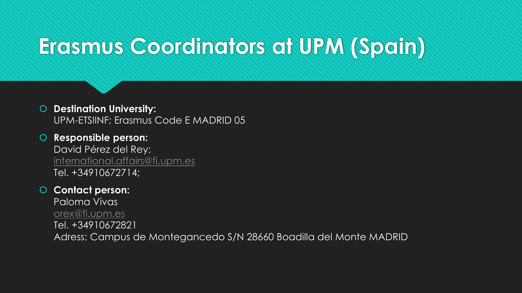# **Erasmus Coordinators at UPM (Spain)**

## **Destination University:**  UPM-ETSIINF; Erasmus Code E MADRID 05

 **Responsible person:**  David Pérez del Rey: [international.affairs@fi.upm.es](mailto:international.affairs@fi.upm.es) Tel. +34910672714;

## **Contact person:**

Paloma Vivas [orex@fi.upm.es](mailto:orex@fi.upm.es) Tel. +34910672821 Adress: Campus de Montegancedo S/N 28660 Boadilla del Monte MADRID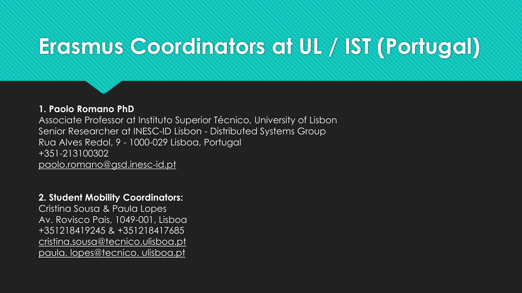# **Erasmus Coordinators at UL / IST (Portugal)**

#### **1. Paolo Romano PhD**

Associate Professor at Instituto Superior Técnico, University of Lisbon Senior Researcher at INESC-ID Lisbon - Distributed Systems Group Rua Alves Redol, 9 - 1000-029 Lisboa, Portugal +351-213100302 paolo.romano@gsd.inesc-id.pt

#### **2. Student Mobility Coordinators:**

Cristina Sousa & Paula Lopes Av. Rovisco Pais, 1049-001, Lisboa +351218419245 & +351218417685 cristina.sousa@tecnico.ulisboa.pt paula. lopes@tecnico. ulisboa.pt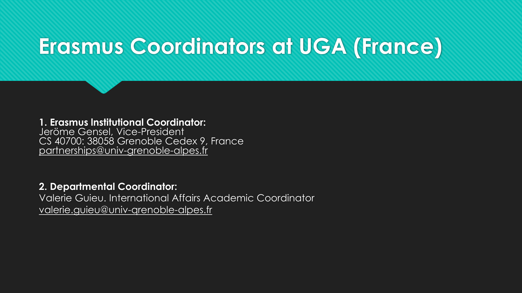## **Erasmus Coordinators at UGA (France)**

**1. Erasmus lnstitutional Coordinator:** Jeröme Gensel, Vice-President CS 40700: 38058 Grenoble Cedex 9, France partnerships@univ-grenoble-alpes.fr

### **2. Departmental Coordinator:**

Valerie Guieu. International Affairs Academic Coordinator valerie.guieu@univ-qrenoble-alpes.fr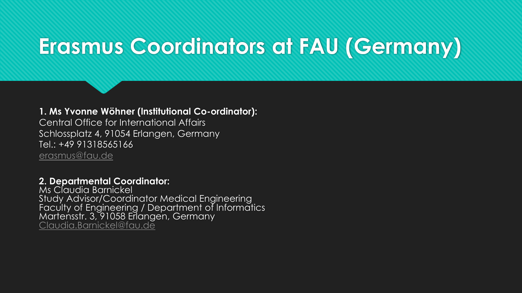# **Erasmus Coordinators at FAU (Germany)**

**1. Ms Yvonne Wöhner (lnstitutional Co-ordinator):** Central Office for International Affairs Schlossplatz 4, 91054 Erlangen, Germany Tel.: +49 91318565166 [erasmus@fau.de](mailto:erasmus@fau.de)

**2. Departmental Coordinator:**  Ms Claudia Barnickel Study Advisor/Coordinator Medical Engineering

Faculty of Engineering / Department of lnformatics Martensstr. 3, 91058 Erlangen, Germany [Claudia.Barnickel@fau.de](mailto:Claudia.Barnickel@fau.de)